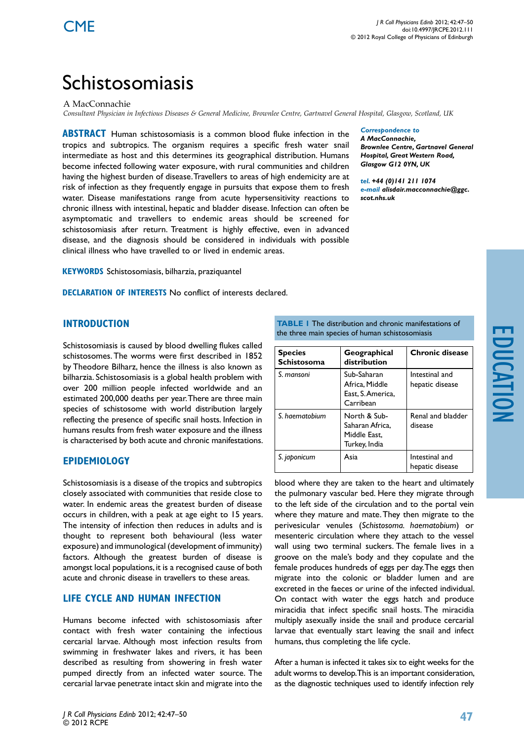*Brownlee Centre, Gartnavel General Hospital, Great Western Road, Glasgow G12 0YN, UK tel. +44 (0)141 211 1074*

*e-mail alisdair.macconnachie@ggc.*

*Correspondence to A MacConnachie,* 

*scot.nhs.uk* 

# Schistosomiasis

A MacConnachie

*Consultant Physician in Infectious Diseases & General Medicine, Brownlee Centre, Gartnavel General Hospital, Glasgow, Scotland, UK* 

**ABSTRACT** Human schistosomiasis is a common blood fluke infection in the tropics and subtropics. The organism requires a specific fresh water snail intermediate as host and this determines its geographical distribution. Humans become infected following water exposure, with rural communities and children having the highest burden of disease. Travellers to areas of high endemicity are at risk of infection as they frequently engage in pursuits that expose them to fresh water. Disease manifestations range from acute hypersensitivity reactions to chronic illness with intestinal, hepatic and bladder disease. Infection can often be asymptomatic and travellers to endemic areas should be screened for schistosomiasis after return. Treatment is highly effective, even in advanced disease, and the diagnosis should be considered in individuals with possible clinical illness who have travelled to or lived in endemic areas.

**keywords** Schistosomiasis, bilharzia, praziquantel

**Declaration of Interests** No conflict of interests declared.

## **Introduction**

Schistosomiasis is caused by blood dwelling flukes called schistosomes. The worms were first described in 1852 by Theodore Bilharz, hence the illness is also known as bilharzia. Schistosomiasis is a global health problem with over 200 million people infected worldwide and an estimated 200,000 deaths per year. There are three main species of schistosome with world distribution largely reflecting the presence of specific snail hosts. Infection in humans results from fresh water exposure and the illness is characterised by both acute and chronic manifestations.

## **Epidemiology**

Schistosomiasis is a disease of the tropics and subtropics closely associated with communities that reside close to water. In endemic areas the greatest burden of disease occurs in children, with a peak at age eight to 15 years. The intensity of infection then reduces in adults and is thought to represent both behavioural (less water exposure) and immunological (development of immunity) factors. Although the greatest burden of disease is amongst local populations, it is a recognised cause of both acute and chronic disease in travellers to these areas.

## **Life cycle and human infection**

Humans become infected with schistosomiasis after contact with fresh water containing the infectious cercarial larvae. Although most infection results from swimming in freshwater lakes and rivers, it has been described as resulting from showering in fresh water pumped directly from an infected water source. The cercarial larvae penetrate intact skin and migrate into the

**table 1** The distribution and chronic manifestations of the three main species of human schistosomiasis

| <b>Species</b><br><b>Schistosoma</b> | Geographical<br>distribution                                     | <b>Chronic disease</b>            |
|--------------------------------------|------------------------------------------------------------------|-----------------------------------|
| S mansoni                            | Sub-Saharan<br>Africa. Middle<br>East, S. America,<br>Carribean  | Intestinal and<br>hepatic disease |
| S. haematobium                       | North & Sub-<br>Saharan Africa.<br>Middle East.<br>Turkey, India | Renal and bladder<br>disease      |
| S. japonicum                         | Asia                                                             | Intestinal and<br>hepatic disease |

blood where they are taken to the heart and ultimately the pulmonary vascular bed. Here they migrate through to the left side of the circulation and to the portal vein where they mature and mate. They then migrate to the perivesicular venules (*Schistosoma. haematobium*) or mesenteric circulation where they attach to the vessel wall using two terminal suckers. The female lives in a groove on the male's body and they copulate and the female produces hundreds of eggs per day. The eggs then migrate into the colonic or bladder lumen and are excreted in the faeces or urine of the infected individual. On contact with water the eggs hatch and produce miracidia that infect specific snail hosts. The miracidia multiply asexually inside the snail and produce cercarial larvae that eventually start leaving the snail and infect humans, thus completing the life cycle.

After a human is infected it takes six to eight weeks for the adult worms to develop. This is an important consideration, as the diagnostic techniques used to identify infection rely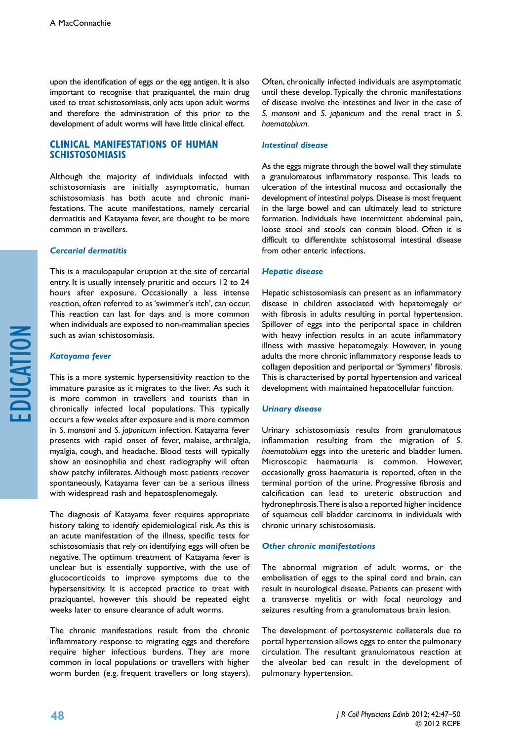upon the identification of eggs or the egg antigen. It is also important to recognise that praziquantel, the main drug used to treat schistosomiasis, only acts upon adult worms and therefore the administration of this prior to the development of adult worms will have little clinical effect.

## **Clinical manifestations of human schistosomiasis**

Although the majority of individuals infected with schistosomiasis are initially asymptomatic, human schistosomiasis has both acute and chronic manifestations. The acute manifestations, namely cercarial dermatitis and Katayama fever, are thought to be more common in travellers.

#### *Cercarial dermatitis*

This is a maculopapular eruption at the site of cercarial entry. It is usually intensely pruritic and occurs 12 to 24 hours after exposure. Occasionally a less intense reaction, often referred to as 'swimmer's itch', can occur. This reaction can last for days and is more common when individuals are exposed to non-mammalian species such as avian schistosomiasis.

#### *Katayama fever*

This is a more systemic hypersensitivity reaction to the immature parasite as it migrates to the liver. As such it is more common in travellers and tourists than in chronically infected local populations. This typically occurs a few weeks after exposure and is more common in *S. mansoni* and *S. japonicum* infection. Katayama fever presents with rapid onset of fever, malaise, arthralgia, myalgia, cough, and headache. Blood tests will typically show an eosinophilia and chest radiography will often show patchy infiltrates. Although most patients recover spontaneously, Katayama fever can be a serious illness with widespread rash and hepatosplenomegaly.

The diagnosis of Katayama fever requires appropriate history taking to identify epidemiological risk. As this is an acute manifestation of the illness, specific tests for schistosomiasis that rely on identifying eggs will often be negative. The optimum treatment of Katayama fever is unclear but is essentially supportive, with the use of glucocorticoids to improve symptoms due to the hypersensitivity. It is accepted practice to treat with praziquantel, however this should be repeated eight weeks later to ensure clearance of adult worms.

The chronic manifestations result from the chronic inflammatory response to migrating eggs and therefore require higher infectious burdens. They are more common in local populations or travellers with higher worm burden (e.g. frequent travellers or long stayers). Often, chronically infected individuals are asymptomatic until these develop. Typically the chronic manifestations of disease involve the intestines and liver in the case of *S. mansoni* and *S. japonicum* and the renal tract in *S. haematobium.*

#### *Intestinal disease*

As the eggs migrate through the bowel wall they stimulate a granulomatous inflammatory response. This leads to ulceration of the intestinal mucosa and occasionally the development of intestinal polyps. Disease is most frequent in the large bowel and can ultimately lead to stricture formation. Individuals have intermittent abdominal pain, loose stool and stools can contain blood. Often it is difficult to differentiate schistosomal intestinal disease from other enteric infections.

#### *Hepatic disease*

Hepatic schistosomiasis can present as an inflammatory disease in children associated with hepatomegaly or with fibrosis in adults resulting in portal hypertension. Spillover of eggs into the periportal space in children with heavy infection results in an acute inflammatory illness with massive hepatomegaly. However, in young adults the more chronic inflammatory response leads to collagen deposition and periportal or 'Symmers' fibrosis. This is characterised by portal hypertension and variceal development with maintained hepatocellular function.

#### *Urinary disease*

Urinary schistosomiasis results from granulomatous inflammation resulting from the migration of *S. haematobium* eggs into the ureteric and bladder lumen. Microscopic haematuria is common. However, occasionally gross haematuria is reported, often in the terminal portion of the urine. Progressive fibrosis and calcification can lead to ureteric obstruction and hydronephrosis. There is also a reported higher incidence of squamous cell bladder carcinoma in individuals with chronic urinary schistosomiasis.

#### *Other chronic manifestations*

The abnormal migration of adult worms, or the embolisation of eggs to the spinal cord and brain, can result in neurological disease. Patients can present with a transverse myelitis or with focal neurology and seizures resulting from a granulomatous brain lesion.

The development of portosystemic collaterals due to portal hypertension allows eggs to enter the pulmonary circulation. The resultant granulomatous reaction at the alveolar bed can result in the development of pulmonary hypertension.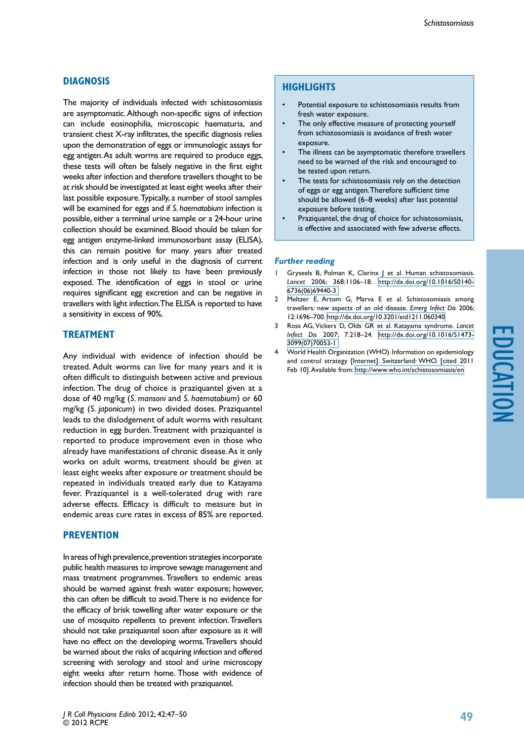## **Diagnosis**

The majority of individuals infected with schistosomiasis are asymptomatic. Although non-specific signs of infection can include eosinophilia, microscopic haematuria, and transient chest X-ray infiltrates, the specific diagnosis relies upon the demonstration of eggs or immunologic assays for egg antigen. As adult worms are required to produce eggs, these tests will often be falsely negative in the first eight weeks after infection and therefore travellers thought to be at risk should be investigated at least eight weeks after their last possible exposure. Typically, a number of stool samples will be examined for eggs and if *S. haematobium* infection is possible, either a terminal urine sample or a 24-hour urine collection should be examined. Blood should be taken for egg antigen enzyme-linked immunosorbant assay (ELISA), this can remain positive for many years after treated infection and is only useful in the diagnosis of current infection in those not likely to have been previously exposed. The identification of eggs in stool or urine requires significant egg excretion and can be negative in travellers with light infection. The ELISA is reported to have a sensitivity in excess of 90%.

## **Treatment**

Any individual with evidence of infection should be treated. Adult worms can live for many years and it is often difficult to distinguish between active and previous infection. The drug of choice is praziquantel given at a dose of 40 mg/kg (*S. mansoni* and *S. haematobium*) or 60 mg/kg (*S. japonicum*) in two divided doses. Praziquantel leads to the dislodgement of adult worms with resultant reduction in egg burden. Treatment with praziquantel is reported to produce improvement even in those who already have manifestations of chronic disease. As it only works on adult worms, treatment should be given at least eight weeks after exposure or treatment should be repeated in individuals treated early due to Katayama fever. Praziquantel is a well-tolerated drug with rare adverse effects. Efficacy is difficult to measure but in endemic areas cure rates in excess of 85% are reported.

### **Prevention**

In areas of high prevalence, prevention strategies incorporate public health measures to improve sewage management and mass treatment programmes. Travellers to endemic areas should be warned against fresh water exposure; however, this can often be difficult to avoid. There is no evidence for the efficacy of brisk towelling after water exposure or the use of mosquito repellents to prevent infection. Travellers should not take praziquantel soon after exposure as it will have no effect on the developing worms. Travellers should be warned about the risks of acquiring infection and offered screening with serology and stool and urine microscopy eight weeks after return home. Those with evidence of infection should then be treated with praziquantel.

## **Highlights**

- Potential exposure to schistosomiasis results from fresh water exposure.
- The only effective measure of protecting yourself from schistosomiasis is avoidance of fresh water exposure.
- The illness can be asymptomatic therefore travellers need to be warned of the risk and encouraged to be tested upon return.
- The tests for schistosomiasis rely on the detection of eggs or egg antigen. Therefore sufficient time should be allowed (6–8 weeks) after last potential exposure before testing.
- Praziquantel, the drug of choice for schistosomiasis, is effective and associated with few adverse effects.

#### *Further reading*

- 1 Gryseels B, Polman K, Clerinx J et al. Human schistosomiasis. *Lancet* 2006; 368:1106–18. [http://dx.doi.org/10.1016/S0140-](http://dx.doi.org/10.1016/S0140-6736(06)69440-3
) [6736\(06\)69440-3](http://dx.doi.org/10.1016/S0140-6736(06)69440-3
)
- 2 Meltzer E, Artom G, Marva E et al. Schistosomiasis among travellers: new aspects of an old disease. *Emerg Infect Dis* 2006; 12:1696–700. <http://dx.doi.org/10.3201/eid1211.060340>
- 3 Ross AG, Vickers D, Olds GR et al. Katayama syndrome. *Lancet Infect Dis* 2007; 7:218–24. [http://dx.doi.org/10.1016/S1473-](http://dx.doi.org/10.1016/S1473-3099(07)70053-1
) [3099\(07\)70053-1](http://dx.doi.org/10.1016/S1473-3099(07)70053-1
)
- 4 World Health Organization (WHO). Information on epidemiology and control strategy [Internet]. Switzerland: WHO. [cited 2011 Feb 10]. Available from:<http://www.who.int/schistosomiasis/en>